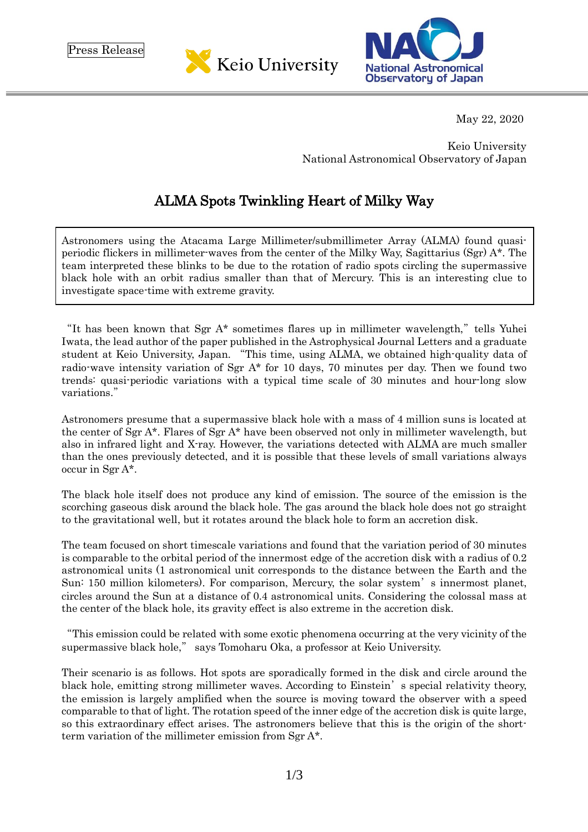Press Release





May 22, 2020

Keio University National Astronomical Observatory of Japan

## ALMA Spots Twinkling Heart of Milky Way

Astronomers using the Atacama Large Millimeter/submillimeter Array (ALMA) found quasiperiodic flickers in millimeter-waves from the center of the Milky Way, Sagittarius (Sgr) A\*. The team interpreted these blinks to be due to the rotation of radio spots circling the supermassive black hole with an orbit radius smaller than that of Mercury. This is an interesting clue to investigate space-time with extreme gravity.

"It has been known that Sgr  $A^*$  sometimes flares up in millimeter wavelength," tells Yuhei Iwata, the lead author of the paper published in the Astrophysical Journal Letters and a graduate student at Keio University, Japan. "This time, using ALMA, we obtained high-quality data of radio-wave intensity variation of Sgr A\* for 10 days, 70 minutes per day. Then we found two trends: quasi-periodic variations with a typical time scale of 30 minutes and hour-long slow variations."

Astronomers presume that a supermassive black hole with a mass of 4 million suns is located at the center of Sgr A\*. Flares of Sgr A\* have been observed not only in millimeter wavelength, but also in infrared light and X-ray. However, the variations detected with ALMA are much smaller than the ones previously detected, and it is possible that these levels of small variations always occur in Sgr A\*.

The black hole itself does not produce any kind of emission. The source of the emission is the scorching gaseous disk around the black hole. The gas around the black hole does not go straight to the gravitational well, but it rotates around the black hole to form an accretion disk.

The team focused on short timescale variations and found that the variation period of 30 minutes is comparable to the orbital period of the innermost edge of the accretion disk with a radius of 0.2 astronomical units (1 astronomical unit corresponds to the distance between the Earth and the Sun: 150 million kilometers). For comparison, Mercury, the solar system's innermost planet, circles around the Sun at a distance of 0.4 astronomical units. Considering the colossal mass at the center of the black hole, its gravity effect is also extreme in the accretion disk.

"This emission could be related with some exotic phenomena occurring at the very vicinity of the supermassive black hole," says Tomoharu Oka, a professor at Keio University.

Their scenario is as follows. Hot spots are sporadically formed in the disk and circle around the black hole, emitting strong millimeter waves. According to Einstein's special relativity theory, the emission is largely amplified when the source is moving toward the observer with a speed comparable to that of light. The rotation speed of the inner edge of the accretion disk is quite large, so this extraordinary effect arises. The astronomers believe that this is the origin of the shortterm variation of the millimeter emission from Sgr A\*.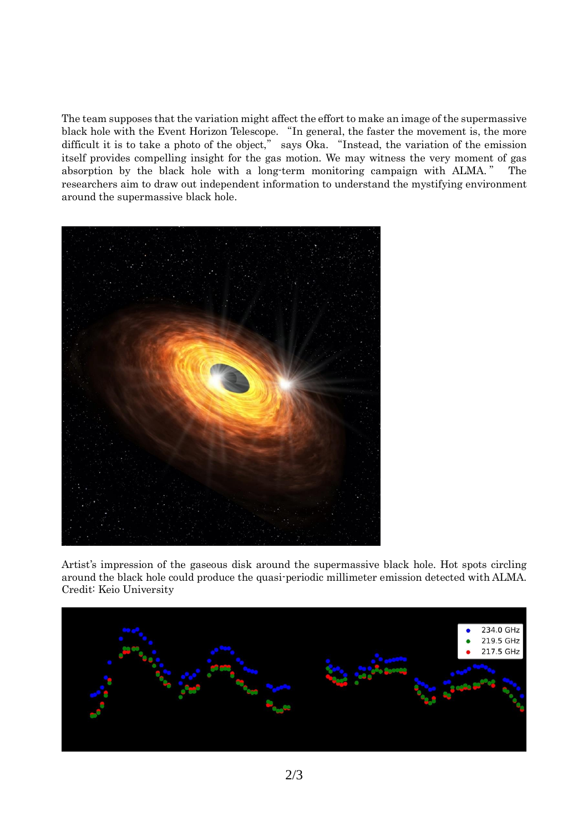The team supposes that the variation might affect the effort to make an image of the supermassive black hole with the Event Horizon Telescope. "In general, the faster the movement is, the more difficult it is to take a photo of the object," says Oka. "Instead, the variation of the emission itself provides compelling insight for the gas motion. We may witness the very moment of gas absorption by the black hole with a long-term monitoring campaign with ALMA. " The researchers aim to draw out independent information to understand the mystifying environment around the supermassive black hole.



Artist's impression of the gaseous disk around the supermassive black hole. Hot spots circling around the black hole could produce the quasi-periodic millimeter emission detected with ALMA. Credit: Keio University